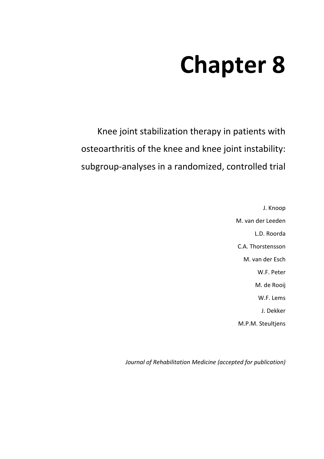# **Chapter 8**

Knee joint stabilization therapy in patients with osteoarthritis of the knee and knee joint instability: subgroup-analyses in a randomized, controlled trial

> J. Knoop M. van der Leeden L.D. Roorda C.A. Thorstensson M. van der Esch W.F. Peter M. de Rooij W.F. Lems J. Dekker M.P.M. Steultjens

*Journal of Rehabilitation Medicine (accepted for publication)*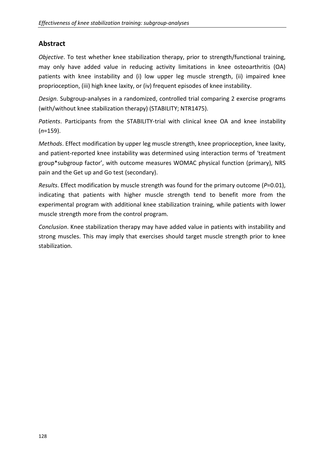# **Abstract**

*Objective*. To test whether knee stabilization therapy, prior to strength/functional training, may only have added value in reducing activity limitations in knee osteoarthritis (OA) patients with knee instability and (i) low upper leg muscle strength, (ii) impaired knee proprioception, (iii) high knee laxity, or (iv) frequent episodes of knee instability.

*Design*. Subgroup-analyses in a randomized, controlled trial comparing 2 exercise programs (with/without knee stabilization therapy) (STABILITY; NTR1475).

*Patients*. Participants from the STABILITY-trial with clinical knee OA and knee instability (*n*=159).

*Methods*. Effect modification by upper leg muscle strength, knee proprioception, knee laxity, and patient-reported knee instability was determined using interaction terms of 'treatment group\*subgroup factor', with outcome measures WOMAC physical function (primary), NRS pain and the Get up and Go test (secondary).

*Results*. Effect modification by muscle strength was found for the primary outcome (*P*=0.01), indicating that patients with higher muscle strength tend to benefit more from the experimental program with additional knee stabilization training, while patients with lower muscle strength more from the control program.

*Conclusion*. Knee stabilization therapy may have added value in patients with instability and strong muscles. This may imply that exercises should target muscle strength prior to knee stabilization.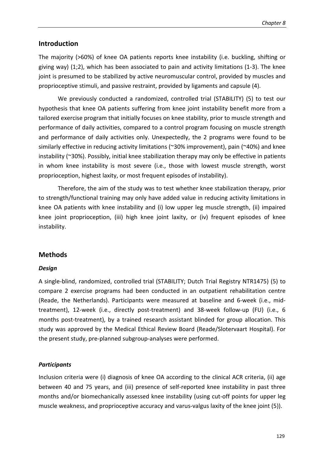## **Introduction**

The majority (>60%) of knee OA patients reports knee instability (i.e. buckling, shifting or giving way) (1;2), which has been associated to pain and activity limitations (1-3). The knee joint is presumed to be stabilized by active neuromuscular control, provided by muscles and proprioceptive stimuli, and passive restraint, provided by ligaments and capsule (4).

We previously conducted a randomized, controlled trial (STABILITY) (5) to test our hypothesis that knee OA patients suffering from knee joint instability benefit more from a tailored exercise program that initially focuses on knee stability, prior to muscle strength and performance of daily activities, compared to a control program focusing on muscle strength and performance of daily activities only. Unexpectedly, the 2 programs were found to be similarly effective in reducing activity limitations (~30% improvement), pain (~40%) and knee instability (~30%). Possibly, initial knee stabilization therapy may only be effective in patients in whom knee instability is most severe (i.e., those with lowest muscle strength, worst proprioception, highest laxity, or most frequent episodes of instability).

Therefore, the aim of the study was to test whether knee stabilization therapy, prior to strength/functional training may only have added value in reducing activity limitations in knee OA patients with knee instability and (i) low upper leg muscle strength, (ii) impaired knee joint proprioception, (iii) high knee joint laxity, or (iv) frequent episodes of knee instability.

# **Methods**

## *Design*

A single-blind, randomized, controlled trial (STABILITY; Dutch Trial Registry NTR1475) (5) to compare 2 exercise programs had been conducted in an outpatient rehabilitation centre (Reade, the Netherlands). Participants were measured at baseline and 6-week (i.e., midtreatment), 12-week (i.e., directly post-treatment) and 38-week follow-up (FU) (i.e., 6 months post-treatment), by a trained research assistant blinded for group allocation. This study was approved by the Medical Ethical Review Board (Reade/Slotervaart Hospital). For the present study, pre-planned subgroup-analyses were performed.

## *Participants*

Inclusion criteria were (i) diagnosis of knee OA according to the clinical ACR criteria, (ii) age between 40 and 75 years, and (iii) presence of self-reported knee instability in past three months and/or biomechanically assessed knee instability (using cut-off points for upper leg muscle weakness, and proprioceptive accuracy and varus-valgus laxity of the knee joint (5)).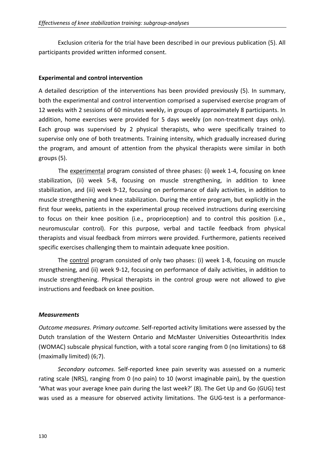Exclusion criteria for the trial have been described in our previous publication (5). All participants provided written informed consent.

#### **Experimental and control intervention**

A detailed description of the interventions has been provided previously (5). In summary, both the experimental and control intervention comprised a supervised exercise program of 12 weeks with 2 sessions of 60 minutes weekly, in groups of approximately 8 participants. In addition, home exercises were provided for 5 days weekly (on non-treatment days only). Each group was supervised by 2 physical therapists, who were specifically trained to supervise only one of both treatments. Training intensity, which gradually increased during the program, and amount of attention from the physical therapists were similar in both groups (5).

The experimental program consisted of three phases: (i) week 1-4, focusing on knee stabilization, (ii) week 5-8, focusing on muscle strengthening, in addition to knee stabilization, and (iii) week 9-12, focusing on performance of daily activities, in addition to muscle strengthening and knee stabilization. During the entire program, but explicitly in the first four weeks, patients in the experimental group received instructions during exercising to focus on their knee position (i.e., proprioception) and to control this position (i.e., neuromuscular control). For this purpose, verbal and tactile feedback from physical therapists and visual feedback from mirrors were provided. Furthermore, patients received specific exercises challenging them to maintain adequate knee position.

The control program consisted of only two phases: (i) week 1-8, focusing on muscle strengthening, and (ii) week 9-12, focusing on performance of daily activities, in addition to muscle strengthening. Physical therapists in the control group were not allowed to give instructions and feedback on knee position.

#### *Measurements*

*Outcome measures. Primary outcome.* Self-reported activity limitations were assessed by the Dutch translation of the Western Ontario and McMaster Universities Osteoarthritis Index (WOMAC) subscale physical function, with a total score ranging from 0 (no limitations) to 68 (maximally limited) (6;7).

*Secondary outcomes*. Self-reported knee pain severity was assessed on a numeric rating scale (NRS), ranging from 0 (no pain) to 10 (worst imaginable pain), by the question 'What was your average knee pain during the last week?' (8). The Get Up and Go (GUG) test was used as a measure for observed activity limitations. The GUG-test is a performance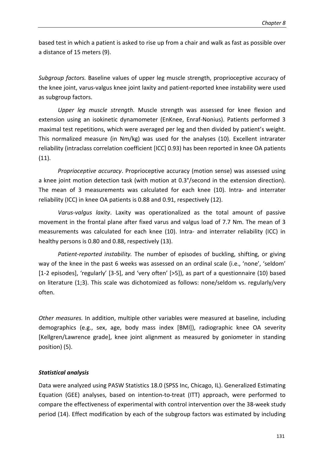based test in which a patient is asked to rise up from a chair and walk as fast as possible over a distance of 15 meters (9).

*Subgroup factors.* Baseline values of upper leg muscle strength, proprioceptive accuracy of the knee joint, varus-valgus knee joint laxity and patient-reported knee instability were used as subgroup factors.

*Upper leg muscle strength*. Muscle strength was assessed for knee flexion and extension using an isokinetic dynamometer (EnKnee, Enraf-Nonius). Patients performed 3 maximal test repetitions, which were averaged per leg and then divided by patient's weight. This normalized measure (in Nm/kg) was used for the analyses (10). Excellent intrarater reliability (intraclass correlation coefficient [ICC] 0.93) has been reported in knee OA patients (11).

*Proprioceptive accuracy*. Proprioceptive accuracy (motion sense) was assessed using a knee joint motion detection task (with motion at 0.3°/second in the extension direction). The mean of 3 measurements was calculated for each knee (10). Intra- and interrater reliability (ICC) in knee OA patients is 0.88 and 0.91, respectively (12).

*Varus-valgus laxity*. Laxity was operationalized as the total amount of passive movement in the frontal plane after fixed varus and valgus load of 7.7 Nm. The mean of 3 measurements was calculated for each knee (10). Intra- and interrater reliability (ICC) in healthy persons is 0.80 and 0.88, respectively (13).

*Patient-reported instability.* The number of episodes of buckling, shifting, or giving way of the knee in the past 6 weeks was assessed on an ordinal scale (i.e., 'none', 'seldom' [1-2 episodes], 'regularly' [3-5], and 'very often' [>5]), as part of a questionnaire (10) based on literature (1;3). This scale was dichotomized as follows: none/seldom vs. regularly/very often.

*Other measures.* In addition, multiple other variables were measured at baseline, including demographics (e.g., sex, age, body mass index [BMI]), radiographic knee OA severity [Kellgren/Lawrence grade], knee joint alignment as measured by goniometer in standing position) (5).

## *Statistical analysis*

Data were analyzed using PASW Statistics 18.0 (SPSS Inc, Chicago, IL). Generalized Estimating Equation (GEE) analyses, based on intention-to-treat (ITT) approach, were performed to compare the effectiveness of experimental with control intervention over the 38-week study period (14). Effect modification by each of the subgroup factors was estimated by including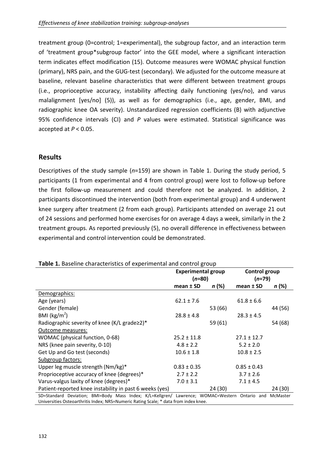treatment group (0=control; 1=experimental), the subgroup factor, and an interaction term of 'treatment group\*subgroup factor' into the GEE model, where a significant interaction term indicates effect modification (15). Outcome measures were WOMAC physical function (primary), NRS pain, and the GUG-test (secondary). We adjusted for the outcome measure at baseline, relevant baseline characteristics that were different between treatment groups (i.e., proprioceptive accuracy, instability affecting daily functioning (yes/no), and varus malalignment [yes/no] (5)), as well as for demographics (i.e., age, gender, BMI, and radiographic knee OA severity). Unstandardized regression coefficients (B) with adjunctive 95% confidence intervals (CI) and *P* values were estimated. Statistical significance was accepted at *P* < 0.05.

# **Results**

Descriptives of the study sample (*n*=159) are shown in Table 1. During the study period, 5 participants (1 from experimental and 4 from control group) were lost to follow-up before the first follow-up measurement and could therefore not be analyzed. In addition, 2 participants discontinued the intervention (both from experimental group) and 4 underwent knee surgery after treatment (2 from each group). Participants attended on average 21 out of 24 sessions and performed home exercises for on average 4 days a week, similarly in the 2 treatment groups. As reported previously (5), no overall difference in effectiveness between experimental and control intervention could be demonstrated.

| Table 1. Baseline characteristics of experimental and control group                                                                                                                   |                           |         |                 |          |  |  |  |  |  |
|---------------------------------------------------------------------------------------------------------------------------------------------------------------------------------------|---------------------------|---------|-----------------|----------|--|--|--|--|--|
|                                                                                                                                                                                       | <b>Experimental group</b> |         | Control group   |          |  |  |  |  |  |
|                                                                                                                                                                                       | $(n=80)$                  |         | $(n=79)$        |          |  |  |  |  |  |
|                                                                                                                                                                                       | $mean \pm SD$             | n (%)   | $mean \pm SD$   | n (%)    |  |  |  |  |  |
| Demographics:                                                                                                                                                                         |                           |         |                 |          |  |  |  |  |  |
| Age (years)                                                                                                                                                                           | $62.1 \pm 7.6$            |         | $61.8 \pm 6.6$  |          |  |  |  |  |  |
| Gender (female)                                                                                                                                                                       |                           | 53 (66) |                 | 44 (56)  |  |  |  |  |  |
| BMI ( $\text{kg/m}^2$ )                                                                                                                                                               | $28.8 \pm 4.8$            |         | $28.3 \pm 4.5$  |          |  |  |  |  |  |
| Radiographic severity of knee (K/L grade $\geq$ 2) <sup>*</sup>                                                                                                                       |                           | 59 (61) |                 | 54 (68)  |  |  |  |  |  |
| Outcome measures:                                                                                                                                                                     |                           |         |                 |          |  |  |  |  |  |
| WOMAC (physical function, 0-68)                                                                                                                                                       | $25.2 \pm 11.8$           |         | $27.1 \pm 12.7$ |          |  |  |  |  |  |
| NRS (knee pain severity, 0-10)                                                                                                                                                        | $4.8 \pm 2.2$             |         | $5.2 \pm 2.0$   |          |  |  |  |  |  |
| Get Up and Go test (seconds)                                                                                                                                                          | $10.6 \pm 1.8$            |         | $10.8 \pm 2.5$  |          |  |  |  |  |  |
| Subgroup factors:                                                                                                                                                                     |                           |         |                 |          |  |  |  |  |  |
| Upper leg muscle strength (Nm/kg)*                                                                                                                                                    | $0.83 \pm 0.35$           |         | $0.85 \pm 0.43$ |          |  |  |  |  |  |
| Proprioceptive accuracy of knee (degrees)*                                                                                                                                            | $2.7 \pm 2.2$             |         | $3.7 \pm 2.6$   |          |  |  |  |  |  |
| Varus-valgus laxity of knee (degrees)*                                                                                                                                                | $7.0 \pm 3.1$             |         | $7.1 \pm 4.5$   |          |  |  |  |  |  |
| Patient-reported knee instability in past 6 weeks (yes)                                                                                                                               |                           | 24 (30) |                 | 24 (30)  |  |  |  |  |  |
| SD=Standard Deviation; BMI=Body Mass Index; K/L=Kellgren/ Lawrence; WOMAC=Western Ontario and<br>Universities Osteoarthritis Index; NRS=Numeric Rating Scale; * data from index knee. |                           |         |                 | McMaster |  |  |  |  |  |

132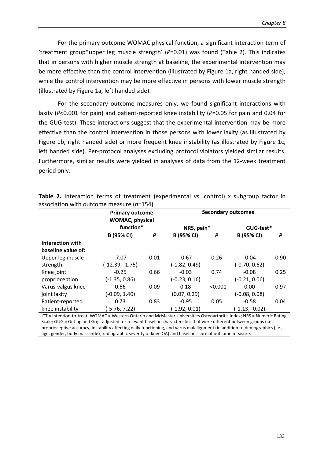For the primary outcome WOMAC physical function, a significant interaction term of 'treatment group\*upper leg muscle strength' (*P*=0.01) was found (Table 2). This indicates that in persons with higher muscle strength at baseline, the experimental intervention may be more effective than the control intervention (illustrated by Figure 1a, right handed side), while the control intervention may be more effective in persons with lower muscle strength (illustrated by Figure 1a, left handed side).

For the secondary outcome measures only, we found significant interactions with laxity (*P*<0.001 for pain) and patient-reported knee instability (*P*=0.05 for pain and 0.04 for the GUG-test). These interactions suggest that the experimental intervention may be more effective than the control intervention in those persons with lower laxity (as illustrated by Figure 1b, right handed side) or more frequent knee instability (as illustrated by Figure 1c, left handed side). Per-protocol analyses excluding protocol violators yielded similar results. Furthermore, similar results were yielded in analyses of data from the 12-week treatment period only.

|                         | <b>Primary outcome</b><br><b>WOMAC, physical</b><br>function* |      | <b>Secondary outcomes</b> |         |                   |      |
|-------------------------|---------------------------------------------------------------|------|---------------------------|---------|-------------------|------|
|                         |                                                               |      | NRS, pain*                |         | GUG-test*         |      |
|                         | B (95% CI)                                                    | P    | B (95% CI)                | P       | <b>B</b> (95% CI) | P    |
| <b>Interaction with</b> |                                                               |      |                           |         |                   |      |
| baseline value of:      |                                                               |      |                           |         |                   |      |
| Upper leg muscle        | $-7.07$                                                       | 0.01 | $-0.67$                   | 0.26    | $-0.04$           | 0.90 |
| strength                | (-12.39, -1.75)                                               |      | $(-1.82, 0.49)$           |         | $(-0.70, 0.62)$   |      |
| Knee joint              | $-0.25$                                                       | 0.66 | $-0.03$                   | 0.74    | $-0.08$           | 0.25 |
| proprioception          | $(-1.35, 0.86)$                                               |      | $(-0.23, 0.16)$           |         | $(-0.21, 0.06)$   |      |
| Varus-valgus knee       | 0.66                                                          | 0.09 | 0.18                      | < 0.001 | 0.00              | 0.97 |
| joint laxity            | $(-0.09, 1.40)$                                               |      | (0.07, 0.29)              |         | $(-0.08, 0.08)$   |      |
| Patient-reported        | 0.73                                                          | 0.83 | $-0.95$                   | 0.05    | $-0.58$           | 0.04 |
| knee instability        | (-5.76, 7.22)                                                 |      | $(-1.92, 0.01)$           |         | (-1.13, -0.02)    |      |

**Table 2.** Interaction terms of treatment (experimental vs. control) x subgroup factor in association with outcome measure (*n*=154)

ITT = intention-to-treat; WOMAC = Western Ontario and McMaster Universities Osteoarthritis Index; NRS = Numeric Rating Scale; GUG = Get up and Go;  $\check{\,}$  adjusted for relevant baseline characteristics that were different between groups (i.e., proprioceptive accuracy, instability affecting daily functioning, and varus malalignment) in addition to demographics (i.e., age, gender, body mass index, radiographic severity of knee OA) and baseline score of outcome measure.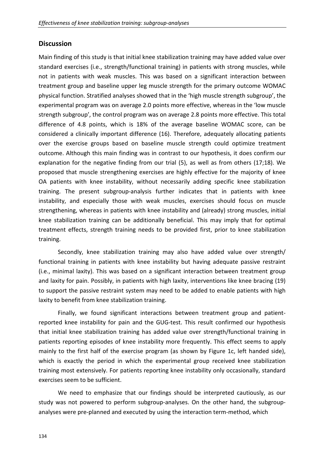# **Discussion**

Main finding of this study is that initial knee stabilization training may have added value over standard exercises (i.e., strength/functional training) in patients with strong muscles, while not in patients with weak muscles. This was based on a significant interaction between treatment group and baseline upper leg muscle strength for the primary outcome WOMAC physical function. Stratified analyses showed that in the 'high muscle strength subgroup', the experimental program was on average 2.0 points more effective, whereas in the 'low muscle strength subgroup', the control program was on average 2.8 points more effective. This total difference of 4.8 points, which is 18% of the average baseline WOMAC score, can be considered a clinically important difference (16). Therefore, adequately allocating patients over the exercise groups based on baseline muscle strength could optimize treatment outcome. Although this main finding was in contrast to our hypothesis, it does confirm our explanation for the negative finding from our trial (5), as well as from others (17;18). We proposed that muscle strengthening exercises are highly effective for the majority of knee OA patients with knee instability, without necessarily adding specific knee stabilization training. The present subgroup-analysis further indicates that in patients with knee instability, and especially those with weak muscles, exercises should focus on muscle strengthening, whereas in patients with knee instability and (already) strong muscles, initial knee stabilization training can be additionally beneficial. This may imply that for optimal treatment effects, strength training needs to be provided first, prior to knee stabilization training.

Secondly, knee stabilization training may also have added value over strength/ functional training in patients with knee instability but having adequate passive restraint (i.e., minimal laxity). This was based on a significant interaction between treatment group and laxity for pain. Possibly, in patients with high laxity, interventions like knee bracing (19) to support the passive restraint system may need to be added to enable patients with high laxity to benefit from knee stabilization training.

Finally, we found significant interactions between treatment group and patientreported knee instability for pain and the GUG-test. This result confirmed our hypothesis that initial knee stabilization training has added value over strength/functional training in patients reporting episodes of knee instability more frequently. This effect seems to apply mainly to the first half of the exercise program (as shown by Figure 1c, left handed side), which is exactly the period in which the experimental group received knee stabilization training most extensively. For patients reporting knee instability only occasionally, standard exercises seem to be sufficient.

We need to emphasize that our findings should be interpreted cautiously, as our study was not powered to perform subgroup-analyses. On the other hand, the subgroupanalyses were pre-planned and executed by using the interaction term-method, which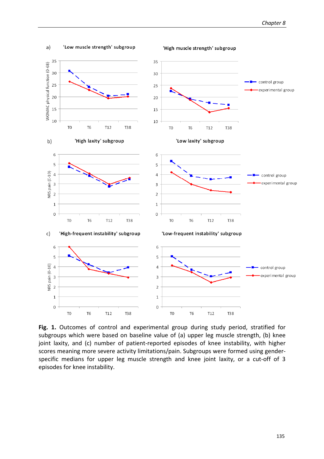

 $a)$ 'Low muscle strength' subgroup

'High muscle strength' subgroup

**Fig. 1.** Outcomes of control and experimental group during study period, stratified for subgroups which were based on baseline value of (a) upper leg muscle strength, (b) knee joint laxity, and (c) number of patient-reported episodes of knee instability, with higher scores meaning more severe activity limitations/pain. Subgroups were formed using genderspecific medians for upper leg muscle strength and knee joint laxity, or a cut-off of 3 episodes for knee instability.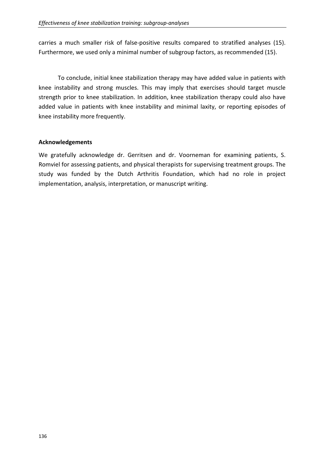carries a much smaller risk of false-positive results compared to stratified analyses (15). Furthermore, we used only a minimal number of subgroup factors, as recommended (15).

To conclude, initial knee stabilization therapy may have added value in patients with knee instability and strong muscles. This may imply that exercises should target muscle strength prior to knee stabilization. In addition, knee stabilization therapy could also have added value in patients with knee instability and minimal laxity, or reporting episodes of knee instability more frequently.

## **Acknowledgements**

We gratefully acknowledge dr. Gerritsen and dr. Voorneman for examining patients, S. Romviel for assessing patients, and physical therapists for supervising treatment groups. The study was funded by the Dutch Arthritis Foundation, which had no role in project implementation, analysis, interpretation, or manuscript writing.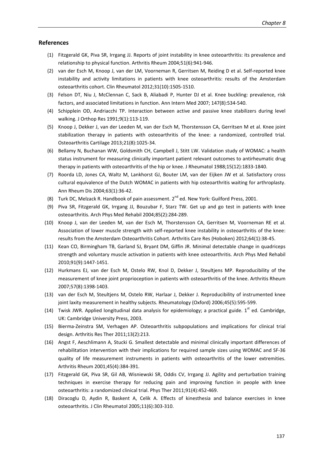#### **References**

- (1) Fitzgerald GK, Piva SR, Irrgang JJ. Reports of joint instability in knee osteoarthritis: its prevalence and relationship to physical function. Arthritis Rheum 2004;51(6):941-946.
- (2) van der Esch M, Knoop J, van der LM, Voorneman R, Gerritsen M, Reiding D et al. Self-reported knee instability and activity limitations in patients with knee osteoarthritis: results of the Amsterdam osteoarthritis cohort. Clin Rheumatol 2012;31(10):1505-1510.
- (3) Felson DT, Niu J, McClennan C, Sack B, Aliabadi P, Hunter DJ et al. Knee buckling: prevalence, risk factors, and associated limitations in function. Ann Intern Med 2007; 147(8):534-540.
- (4) Schipplein OD, Andriacchi TP. Interaction between active and passive knee stabilizers during level walking. J Orthop Res 1991;9(1):113-119.
- (5) Knoop J, Dekker J, van der Leeden M, van der Esch M, Thorstensson CA, Gerritsen M et al. Knee joint stabilization therapy in patients with osteoarthritis of the knee: a randomized, controlled trial. Osteoarthritis Cartilage 2013;21(8):1025-34.
- (6) Bellamy N, Buchanan WW, Goldsmith CH, Campbell J, Stitt LW. Validation study of WOMAC: a health status instrument for measuring clinically important patient relevant outcomes to antirheumatic drug therapy in patients with osteoarthritis of the hip or knee. J Rheumatol 1988;15(12):1833-1840.
- (7) Roorda LD, Jones CA, Waltz M, Lankhorst GJ, Bouter LM, van der Eijken JW et al. Satisfactory cross cultural equivalence of the Dutch WOMAC in patients with hip osteoarthritis waiting for arthroplasty. Ann Rheum Dis 2004;63(1):36-42.
- (8) Turk DC, Melzack R. Handbook of pain assessment.  $2^{nd}$  ed. New York: Guilford Press, 2001.
- (9) Piva SR, Fitzgerald GK, Irrgang JJ, Bouzubar F, Starz TW. Get up and go test in patients with knee osteoarthritis. Arch Phys Med Rehabil 2004;85(2):284-289.
- (10) Knoop J, van der Leeden M, van der Esch M, Thorstensson CA, Gerritsen M, Voorneman RE et al. Association of lower muscle strength with self-reported knee instability in osteoarthritis of the knee: results from the Amsterdam Osteoarthritis Cohort. Arthritis Care Res (Hoboken) 2012;64(1):38-45.
- (11) Kean CO, Birmingham TB, Garland SJ, Bryant DM, Giffin JR. Minimal detectable change in quadriceps strength and voluntary muscle activation in patients with knee osteoarthritis. Arch Phys Med Rehabil 2010;91(9):1447-1451.
- (12) Hurkmans EJ, van der Esch M, Ostelo RW, Knol D, Dekker J, Steultjens MP. Reproducibility of the measurement of knee joint proprioception in patients with osteoarthritis of the knee. Arthritis Rheum 2007;57(8):1398-1403.
- (13) van der Esch M, Steultjens M, Ostelo RW, Harlaar J, Dekker J. Reproducibility of instrumented knee joint laxity measurement in healthy subjects. Rheumatology (Oxford) 2006;45(5):595-599.
- (14) Twisk JWR. Applied longitudinal data analysis for epidemiology; a practical guide.  $1<sup>st</sup>$  ed. Cambridge, UK: Cambridge University Press, 2003.
- (15) Bierma-Zeinstra SM, Verhagen AP. Osteoarthritis subpopulations and implications for clinical trial design. Arthritis Res Ther 2011;13(2):213.
- (16) Angst F, Aeschlimann A, Stucki G. Smallest detectable and minimal clinically important differences of rehabilitation intervention with their implications for required sample sizes using WOMAC and SF-36 quality of life measurement instruments in patients with osteoarthritis of the lower extremities. Arthritis Rheum 2001;45(4):384-391.
- (17) Fitzgerald GK, Piva SR, Gil AB, Wisniewski SR, Oddis CV, Irrgang JJ. Agility and perturbation training techniques in exercise therapy for reducing pain and improving function in people with knee osteoarthritis: a randomized clinical trial. Phys Ther 2011;91(4):452-469.
- (18) Diracoglu D, Aydin R, Baskent A, Celik A. Effects of kinesthesia and balance exercises in knee osteoarthritis. J Clin Rheumatol 2005;11(6):303-310.